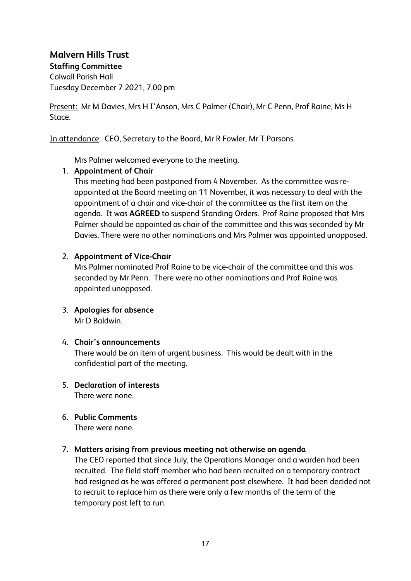**Malvern Hills Trust Staffing Committee** Colwall Parish Hall Tuesday December 7 2021, 7.00 pm

Present: Mr M Davies, Mrs H I'Anson, Mrs C Palmer (Chair), Mr C Penn, Prof Raine, Ms H Stace.

In attendance: CEO, Secretary to the Board, Mr R Fowler, Mr T Parsons.

Mrs Palmer welcomed everyone to the meeting.

## 1. **Appointment of Chair**

This meeting had been postponed from 4 November. As the committee was reappointed at the Board meeting on 11 November, it was necessary to deal with the appointment of a chair and vice-chair of the committee as the first item on the agenda. It was **AGREED** to suspend Standing Orders. Prof Raine proposed that Mrs Palmer should be appointed as chair of the committee and this was seconded by Mr Davies. There were no other nominations and Mrs Palmer was appointed unopposed.

## 2. **Appointment of Vice-Chair**

Mrs Palmer nominated Prof Raine to be vice-chair of the committee and this was seconded by Mr Penn. There were no other nominations and Prof Raine was appointed unopposed.

3. **Apologies for absence** Mr D Baldwin.

## 4. **Chair's announcements**

There would be an item of urgent business. This would be dealt with in the confidential part of the meeting.

- 5. **Declaration of interests** There were none.
- 6. **Public Comments** There were none.

## 7. **Matters arising from previous meeting not otherwise on agenda**

The CEO reported that since July, the Operations Manager and a warden had been recruited. The field staff member who had been recruited on a temporary contract had resigned as he was offered a permanent post elsewhere. It had been decided not to recruit to replace him as there were only a few months of the term of the temporary post left to run.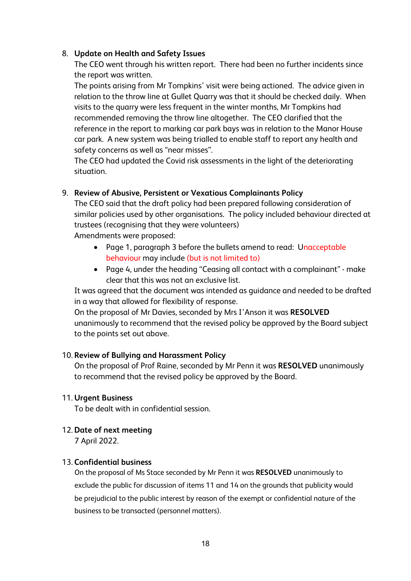# 8. **Update on Health and Safety Issues**

The CEO went through his written report. There had been no further incidents since the report was written.

The points arising from Mr Tompkins' visit were being actioned. The advice given in relation to the throw line at Gullet Quarry was that it should be checked daily. When visits to the quarry were less frequent in the winter months, Mr Tompkins had recommended removing the throw line altogether. The CEO clarified that the reference in the report to marking car park bays was in relation to the Manor House car park. A new system was being trialled to enable staff to report any health and safety concerns as well as "near misses".

The CEO had updated the Covid risk assessments in the light of the deteriorating situation.

# 9. **Review of Abusive, Persistent or Vexatious Complainants Policy**

The CEO said that the draft policy had been prepared following consideration of similar policies used by other organisations. The policy included behaviour directed at trustees (recognising that they were volunteers)

Amendments were proposed:

- Page 1, paragraph 3 before the bullets amend to read: Unacceptable behaviour may include (but is not limited to)
- Page 4, under the heading "Ceasing all contact with a complainant" make clear that this was not an exclusive list.

It was agreed that the document was intended as guidance and needed to be drafted in a way that allowed for flexibility of response.

On the proposal of Mr Davies, seconded by Mrs I'Anson it was **RESOLVED** unanimously to recommend that the revised policy be approved by the Board subject to the points set out above.

## 10. **Review of Bullying and Harassment Policy**

On the proposal of Prof Raine, seconded by Mr Penn it was **RESOLVED** unanimously to recommend that the revised policy be approved by the Board.

## 11. **Urgent Business**

To be dealt with in confidential session.

## 12. **Date of next meeting**

7 April 2022.

#### 13. **Confidential business**

On the proposal of Ms Stace seconded by Mr Penn it was **RESOLVED** unanimously to exclude the public for discussion of items 11 and 14 on the grounds that publicity would be prejudicial to the public interest by reason of the exempt or confidential nature of the business to be transacted (personnel matters).